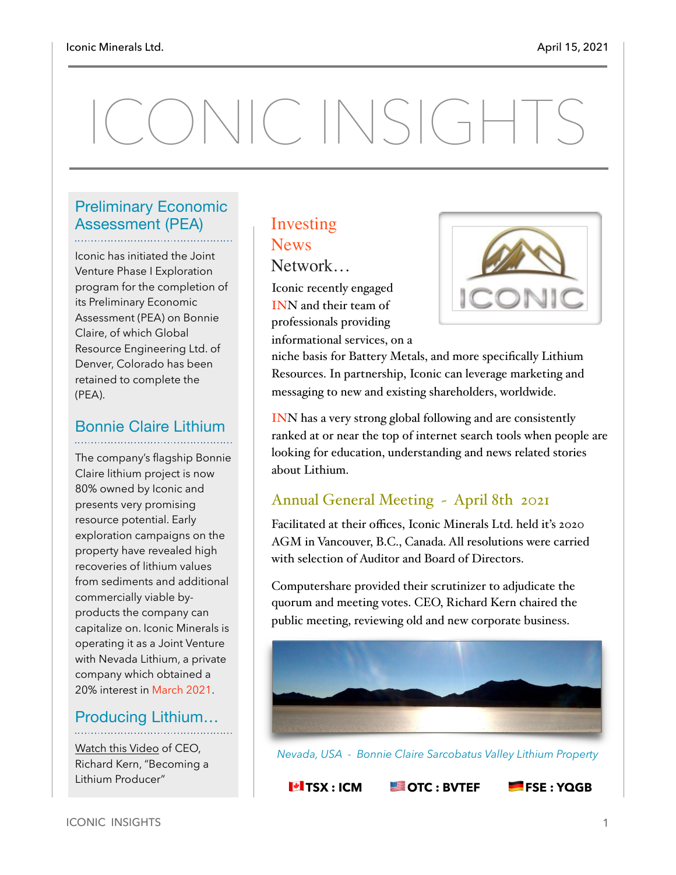# ONIC INSIGHTS

#### Preliminary Economic Assessment (PEA)

Iconic has initiated the Joint Venture Phase I Exploration program for the completion of its Preliminary Economic Assessment (PEA) on Bonnie Claire, of which Global Resource Engineering Ltd. of Denver, Colorado has been retained to complete the (PEA).

#### Bonnie Claire Lithium

The company's flagship Bonnie Claire lithium project is now 80% owned by Iconic and presents very promising resource potential. Early exploration campaigns on the property have revealed high recoveries of lithium values from sediments and additional commercially viable byproducts the company can capitalize on. Iconic Minerals is operating it as a Joint Venture with Nevada Lithium, a private company which obtained a 20% interest in March 2021.

#### Producing Lithium…

[Watch this Video](https://www.youtube.com/watch?v=Sjzevmiw9uQ) of CEO, Richard Kern, "Becoming a Lithium Producer"

### Investing **News**

Network…

Iconic recently engaged INN and their team of professionals providing informational services, on a



niche basis for Battery Metals, and more specifically Lithium Resources. In partnership, Iconic can leverage marketing and messaging to new and existing shareholders, worldwide.

INN has a very strong global following and are consistently ranked at or near the top of internet search tools when people are looking for education, understanding and news related stories about Lithium.

#### Annual General Meeting ~ April 8th 2021

Facilitated at their offices, Iconic Minerals Ltd. held it's 2020 AGM in Vancouver, B.C., Canada. All resolutions were carried with selection of Auditor and Board of Directors.

Computershare provided their scrutinizer to adjudicate the quorum and meeting votes. CEO, Richard Kern chaired the public meeting, reviewing old and new corporate business.



 *Nevada, USA - Bonnie Claire Sarcobatus Valley Lithium Property*

*M* **TSX : ICM <b>SOTC : BVTEF PIESE : YQGB**